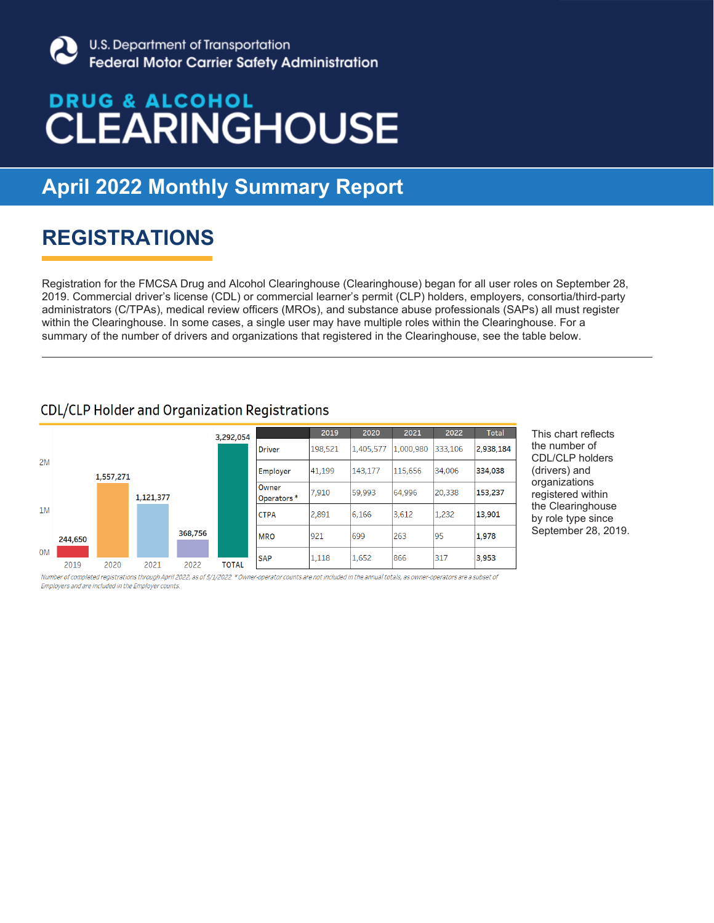

## 22 **April 2022 Monthly Summary Report**

### **REGISTRATIONS**

Registration for the FMCSA Drug and Alcohol Clearinghouse (Clearinghouse) began for all user roles on September 28, 2019. Commercial driver's license (CDL) or commercial learner's permit (CLP) holders, employers, consortia/third-party administrators (C/TPAs), medical review officers (MROs), and substance abuse professionals (SAPs) all must register within the Clearinghouse. In some cases, a single user may have multiple roles within the Clearinghouse. For a summary of the number of drivers and organizations that registered in the Clearinghouse, see the table below.

### **CDL/CLP Holder and Organization Registrations**



This chart reflects the number of CDL/CLP holders (drivers) and organizations registered within the Clearinghouse by role type since September 28, 2019.

Number of completed registrations through April 2022, as of 5/1/2022. \* Owner-operator counts are not included in the annual totals, as owner-operators are a subset of Employers and are included in the Employer counts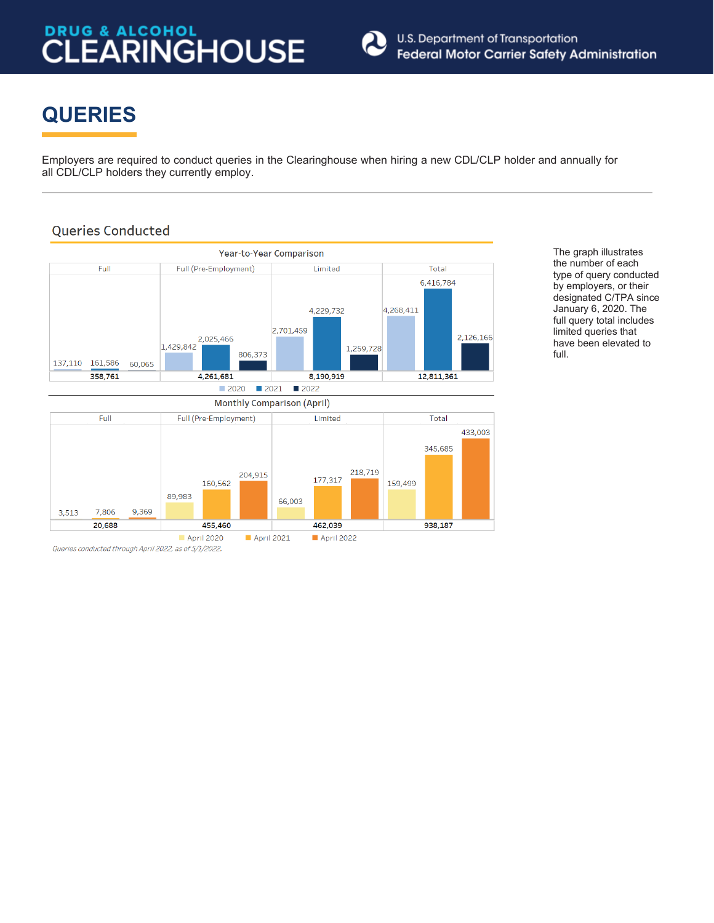

## **QUERIES**

Employers are required to conduct queries in the Clearinghouse when hiring a new CDL/CLP holder and annually for all CDL/CLP holders they currently employ.

### **Queries Conducted**



The graph illustrates the number of each type of query conducted by employers, or their designated C/TPA since January 6, 2020. The full query total includes limited queries that have been elevated to full.

Queries conducted through April 2022, as of 5/1/2022.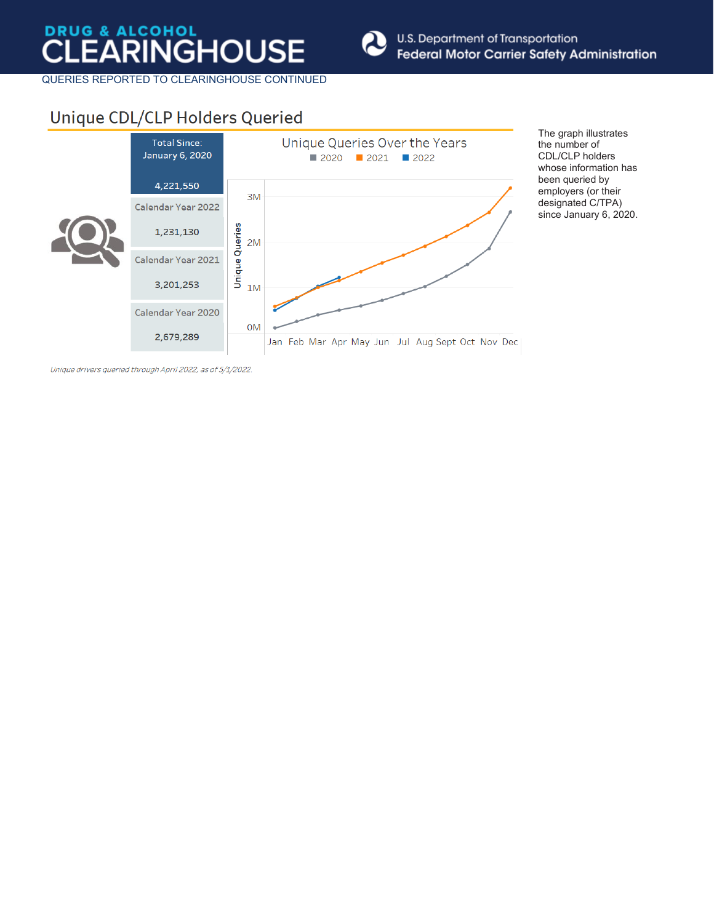

QUERIES REPORTED TO CLEARINGHOUSE CONTINUED

### Unique CDL/CLP Holders Queried



The graph illustrates the number of CDL/CLP holders whose information has been queried by employers (or their designated C/TPA) since January 6, 2020.

Unique drivers queried through April 2022, as of 5/1/2022.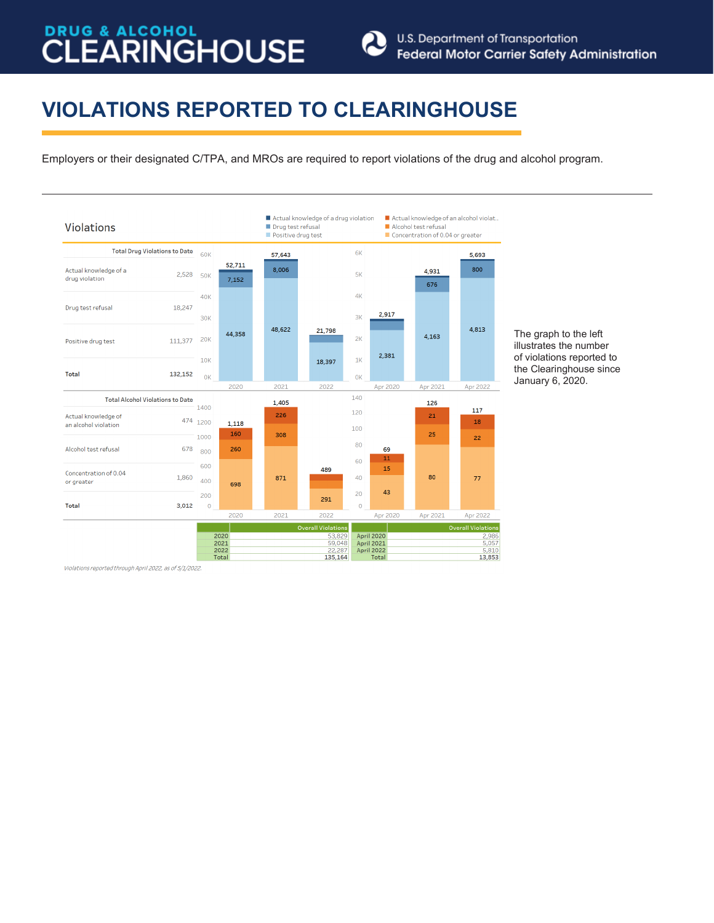

## **VIOLATIONS REPORTED TO CLEARINGHOUSE**

Employers or their designated C/TPA, and MROs are required to report violations of the drug and alcohol program.



The graph to the left illustrates the number of violations reported to the Clearinghouse since January 6, 2020.

Violations reported through April 2022, as of 5/1/2022.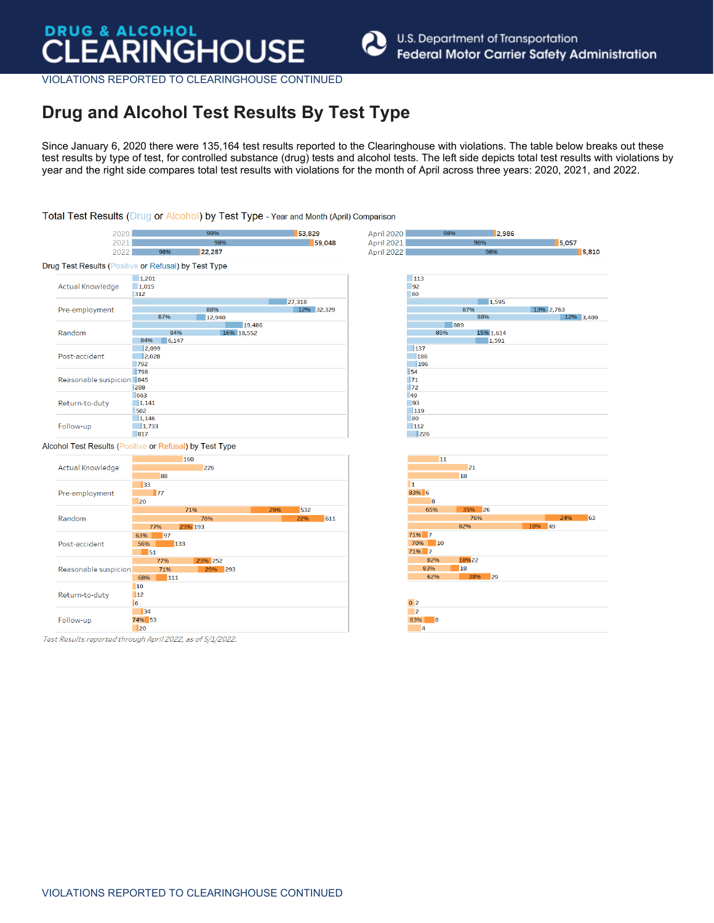

VIOLATIONS REPORTED TO CLEARINGHOUSE CONTINUED

### **Drug and Alcohol Test Results By Test Type**

Since January 6, 2020 there were 135,164 test results reported to the Clearinghouse with violations. The table below breaks out these test results by type of test, for controlled substance (drug) tests and alcohol tests. The left side depicts total test results with violations by year and the right side compares total test results with violations for the month of April across three years: 2020, 2021, and 2022.

### Total Test Results (Drug or Alcohol) by Test Type - Year and Month (April) Comparison 2020 53,829 **April 2020** 2,986  $2021$ 59,048 April 2021  $5,057$ 3000 2022  $QQQQ6$  $122.287$ April 2022  $5,810$ Drug Test Results (Positive or Refusal) by Test Type  $1.201$  $\overline{113}$ Actual Knowledge  $1,015$  $-92$ 312  $80$ 27,318  $\boxed{1,595}$ 13% 2.763 Pre-employment 88% 12% 32.329 87% 87%  $12,940$ 12% 3,409 19,486 889 Random 84% 16% 18.552 85% 15% 1,614 84% 6.147 1.591  $|2,099$  $\boxed{137}$ Post-accident  $|2.028$  $186$ 792  $\blacksquare$ 196 **Isa 1798**  $\overline{\mathbb{R}}$ 71 Reasonable suspicion 845 1288  $\overline{\phantom{a}}$  72 663 49 Return-to-duty  $|1,141$  $\frac{1}{93}$  $\overline{\phantom{1}}$ 119 502  $1,146$ 80 Follow-up  $1.733$  $\Box$ 112  $|817$  $\overline{\phantom{1}}$  226 Alcohol Test Results (Positive or Refusal) by Test Type 160 11 Actual Knowledge 226  $|21|$ 88 18  $\begin{array}{c} \n 33\n \end{array}$  $\mathbf{1}$ Pre-employment  $\blacksquare$ 83% 6 20 35% 26 71% 532 65% 76% Random 63 78% 611 23% 193 82% 77%  $149$ 63%  $\overline{97}$ 71% 7 70% 10 Post-accident 56%  $133$ 71% 7  $\overline{51}$ 82% 18%22 77% 23% 252 Reasonable suspicion 71%  $\overline{\phantom{1}}$  293 83%  $\blacksquare$ 18 62%  $\overline{29}$ 68%  $\overline{111}$  $10$ Return-to-duty  $\overline{\mathbb{1}}$ 12  $0<sub>2</sub>$  $|6$  $\overline{34}$  $\overline{2}$ Follow-up 74% 53 63%  $\overline{\phantom{a}}$  8  $\overline{1}$  20  $|4$ Test Results reported through April 2022, as of 5/1/2022.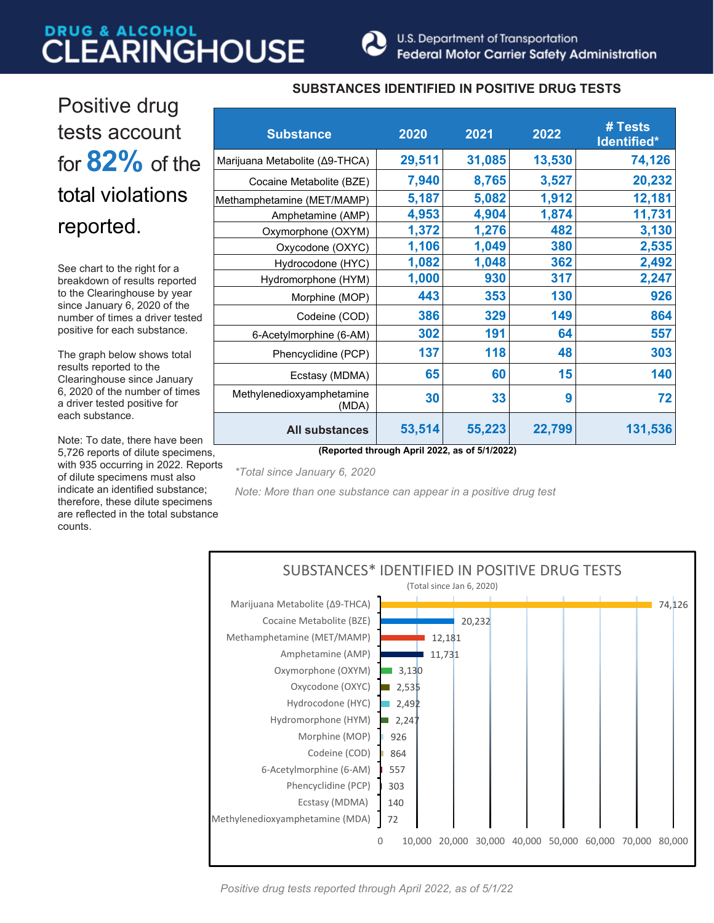

## Positive drug tests account for **82%** of the total violations reported.

See chart to the right for a breakdown of results reported to the Clearinghouse by year since January 6, 2020 of the number of times a driver tested positive for each substance.

The graph below shows total results reported to the Clearinghouse since January 6, 2020 of the number of times a driver tested positive for each substance.

Note: To date, there have been 5,726 reports of dilute specimens, with 935 occurring in 2022. Reports of dilute specimens must also indicate an identified substance; therefore, these dilute specimens are reflected in the total substance counts.

### **SUBSTANCES IDENTIFIED IN POSITIVE DRUG TESTS**

| <b>Substance</b>                              | 2020   | 2021   | 2022   | # Tests<br>Identified* |  |  |
|-----------------------------------------------|--------|--------|--------|------------------------|--|--|
| Marijuana Metabolite (Δ9-THCA)                | 29,511 | 31,085 | 13,530 | 74,126                 |  |  |
| Cocaine Metabolite (BZE)                      | 7,940  | 8,765  | 3,527  | 20,232                 |  |  |
| Methamphetamine (MET/MAMP)                    | 5,187  | 5,082  | 1,912  | 12,181                 |  |  |
| Amphetamine (AMP)                             | 4,953  | 4,904  | 1,874  | 11,731                 |  |  |
| Oxymorphone (OXYM)                            | 1,372  | 1,276  | 482    | 3,130                  |  |  |
| Oxycodone (OXYC)                              | 1,106  | 1,049  | 380    | 2,535                  |  |  |
| Hydrocodone (HYC)                             | 1,082  | 1,048  | 362    | 2,492                  |  |  |
| Hydromorphone (HYM)                           | 1,000  | 930    | 317    | 2,247                  |  |  |
| Morphine (MOP)                                | 443    | 353    | 130    | 926                    |  |  |
| Codeine (COD)                                 | 386    | 329    | 149    | 864                    |  |  |
| 6-Acetylmorphine (6-AM)                       | 302    | 191    | 64     | 557                    |  |  |
| Phencyclidine (PCP)                           | 137    | 118    | 48     | 303                    |  |  |
| Ecstasy (MDMA)                                | 65     | 60     | 15     | 140                    |  |  |
| Methylenedioxyamphetamine<br>(MDA)            | 30     | 33     | 9      | 72                     |  |  |
| <b>All substances</b>                         | 53,514 | 55,223 | 22,799 | 131,536                |  |  |
| (Reported through April 2022, as of 5/1/2022) |        |        |        |                        |  |  |

*\*Total since January 6, 2020*

*Note: More than one substance can appear in a positive drug test* 



*Positive drug tests reported through April 2022, as of 5/1/22*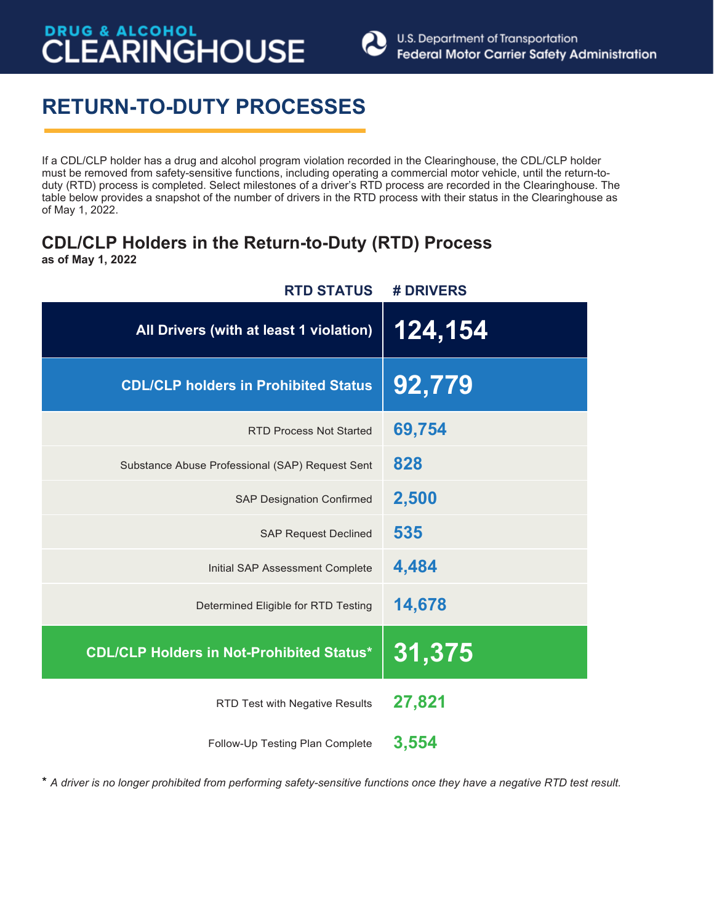

## **RETURN-TO-DUTY PROCESSES**

If a CDL/CLP holder has a drug and alcohol program violation recorded in the Clearinghouse, the CDL/CLP holder must be removed from safety-sensitive functions, including operating a commercial motor vehicle, until the return-toduty (RTD) process is completed. Select milestones of a driver's RTD process are recorded in the Clearinghouse. The table below provides a snapshot of the number of drivers in the RTD process with their status in the Clearinghouse as of May 1, 2022.

### **CDL/CLP Holders in the Return-to-Duty (RTD) Process as of May 1, 2022**

| # DRIVERS |
|-----------|
| 124,154   |
| 92,779    |
| 69,754    |
| 828       |
| 2,500     |
| 535       |
| 4,484     |
| 14,678    |
| 31,375    |
| 27,821    |
| 3,554     |
|           |

\* *A driver is no longer prohibited from performing safety-sensitive functions once they have a negative RTD test result.*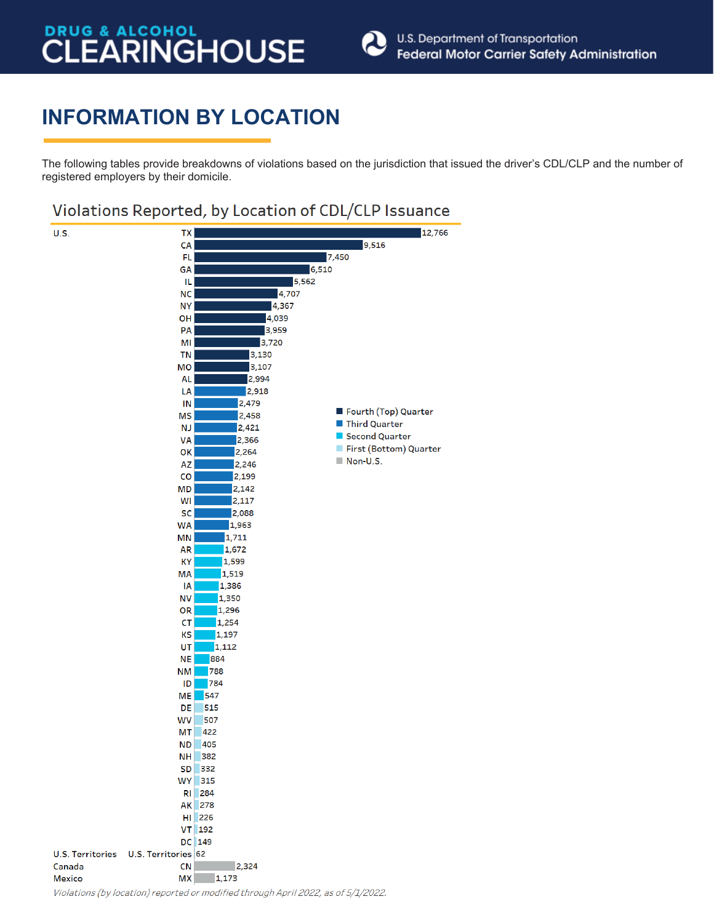

## **INFORMATION BY LOCATION**

The following tables provide breakdowns of violations based on the jurisdiction that issued the driver's CDL/CLP and the number of registered employers by their domicile.

### Violations Reported, by Location of CDL/CLP Issuance

| <b>U.S.</b>             | TX                  |                                                                                   | 12,766                 |
|-------------------------|---------------------|-----------------------------------------------------------------------------------|------------------------|
|                         | CA                  |                                                                                   | 9,516                  |
|                         | FL.                 |                                                                                   | 7,450                  |
|                         | GA                  | 6,510                                                                             |                        |
|                         | IL.                 | 5,562                                                                             |                        |
|                         | <b>NC</b>           | 4,707                                                                             |                        |
|                         | <b>NY</b>           | 4,367                                                                             |                        |
|                         | OH                  | 4,039                                                                             |                        |
|                         | PA                  | 3,959                                                                             |                        |
|                         | MI                  | 3,720                                                                             |                        |
|                         | <b>TN</b>           | 3,130                                                                             |                        |
|                         | MO                  | 3,107                                                                             |                        |
|                         | <b>AL</b>           | 2,994                                                                             |                        |
|                         | LA                  | 2,918                                                                             |                        |
|                         | IN                  | 2,479                                                                             |                        |
|                         |                     |                                                                                   | Fourth (Top) Quarter   |
|                         | <b>MS</b>           | 2,458                                                                             | Third Quarter          |
|                         | <b>NJ</b>           | 2,421                                                                             | Second Quarter         |
|                         | <b>VA</b>           | 2,366                                                                             | First (Bottom) Quarter |
|                         | ОK                  | 2,264                                                                             | Non-U.S.               |
|                         | AZ                  | 2,246                                                                             |                        |
|                         | $\mathsf{co}$       | 2,199                                                                             |                        |
|                         | <b>MD</b>           | 2,142                                                                             |                        |
|                         | WI                  | 2,117                                                                             |                        |
|                         | SC                  | 2,088                                                                             |                        |
|                         | <b>WA</b>           | 1,963                                                                             |                        |
|                         | MN                  | 1,711                                                                             |                        |
|                         | <b>AR</b>           | 1,672                                                                             |                        |
|                         | КY                  | 1,599                                                                             |                        |
|                         | <b>MA</b>           | 1,519                                                                             |                        |
|                         | ΙA                  | 1,386                                                                             |                        |
|                         | <b>NV</b>           | 1,350                                                                             |                        |
|                         | OR                  | 1,296                                                                             |                        |
|                         | <b>CT</b>           | 1,254                                                                             |                        |
|                         | KS                  | 1,197                                                                             |                        |
|                         | UT                  | 1,112                                                                             |                        |
|                         | <b>NE</b>           | 884                                                                               |                        |
|                         | <b>NM</b>           | 788                                                                               |                        |
|                         | ID                  | 784                                                                               |                        |
|                         | <b>ME</b>           | 547                                                                               |                        |
|                         | DE                  | 515                                                                               |                        |
|                         | <b>WV</b>           | 507                                                                               |                        |
|                         | МT                  | 422                                                                               |                        |
|                         | <b>ND</b>           | 405                                                                               |                        |
|                         | NH                  | 382                                                                               |                        |
|                         | SD 332              |                                                                                   |                        |
|                         | <b>WY</b> 315       |                                                                                   |                        |
|                         | <b>RI</b> 284       |                                                                                   |                        |
|                         | AK 278              |                                                                                   |                        |
|                         | HI 226              |                                                                                   |                        |
|                         | VT 192              |                                                                                   |                        |
|                         | DC 149              |                                                                                   |                        |
| <b>U.S. Territories</b> | U.S. Territories 62 |                                                                                   |                        |
| Canada                  | <b>CN</b>           | 2,324                                                                             |                        |
| <b>Mexico</b>           | <b>MX</b>           | 1,173                                                                             |                        |
|                         |                     | Violations (by location) reported or modified through April 2022, as of 5/1/2022. |                        |